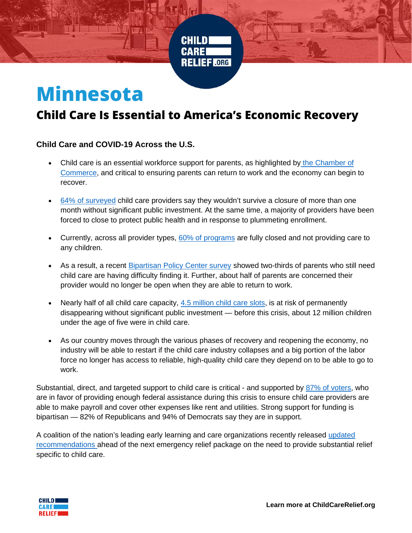

## **Minnesota**

## **Child Care Is Essential to America's Economic Recovery**

## **Child Care and COVID-19 Across the U.S.**

- Child care is an essential workforce support for parents, as highlighted by [the Chamber of](https://www.uschamber.com/coronavirus/implementing-national-return-to-work-plan)  [Commerce,](https://www.uschamber.com/coronavirus/implementing-national-return-to-work-plan) and critical to ensuring parents can return to work and the economy can begin to recover.
- [64% of surveyed](https://www.naeyc.org/sites/default/files/globally-shared/downloads/PDFs/our-work/public-policy-advocacy/effects_of_coronavirus_on_child_care.final.pdf) child care providers say they wouldn't survive a closure of more than one month without significant public investment. At the same time, a majority of providers have been forced to close to protect public health and in response to plummeting enrollment.
- Currently, across all provider types, [60% of programs](https://bipartisanpolicy.org/blog/nationwide-survey-child-care-in-the-time-of-coronavirus/) are fully closed and not providing care to any children.
- As a result, a recent [Bipartisan Policy Center survey](https://bipartisanpolicy.org/blog/nationwide-survey-child-care-in-the-time-of-coronavirus/) showed two-thirds of parents who still need child care are having difficulty finding it. Further, about half of parents are concerned their provider would no longer be open when they are able to return to work.
- Nearly half of all child care capacity, [4.5 million child care slots,](https://www.americanprogress.org/issues/early-childhood/news/2020/04/24/483817/coronavirus-pandemic-lead-permanent-loss-nearly-4-5-million-child-care-slots/) is at risk of permanently disappearing without significant public investment — before this crisis, about 12 million children under the age of five were in child care.
- As our country moves through the various phases of recovery and reopening the economy, no industry will be able to restart if the child care industry collapses and a big portion of the labor force no longer has access to reliable, high-quality child care they depend on to be able to go to work.

Substantial, direct, and targeted support to child care is critical - and supported by [87% of voters,](https://info.childcareaware.org/blog/survey-majority-support-for-dedicated-child-care-funding) who are in favor of providing enough federal assistance during this crisis to ensure child care providers are able to make payroll and cover other expenses like rent and utilities. Strong support for funding is bipartisan — 82% of Republicans and 94% of Democrats say they are in support.

A coalition of the nation's leading early learning and care organizations recently released [updated](https://childcarerelief.org/child-care-recommendations-for-congress/)  [recommendations a](https://childcarerelief.org/child-care-recommendations-for-congress/)head of the next emergency relief package on the need to provide substantial relief specific to child care.